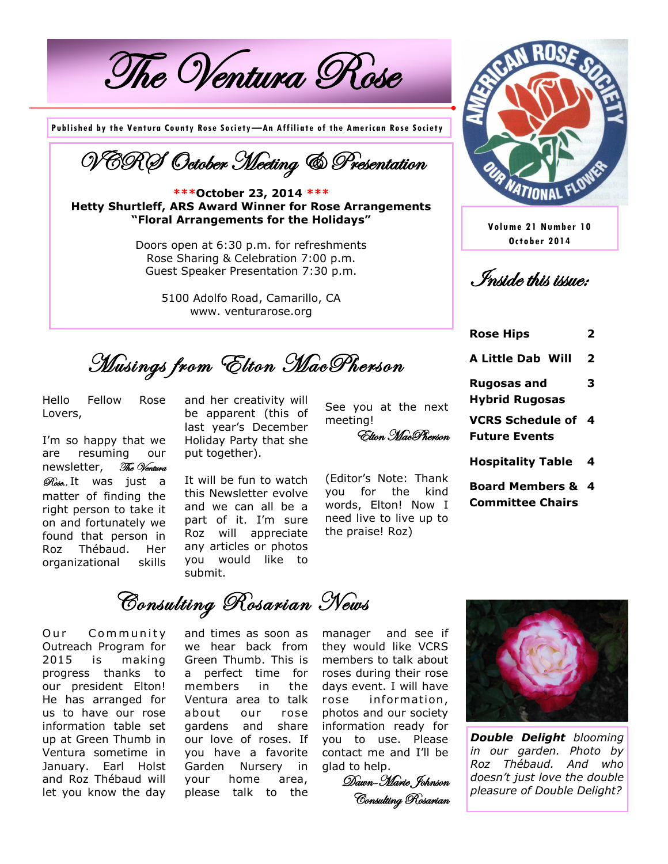The Ventura Rose

**Published by the Ventura County Rose Society—An Affiliate of the American Rose Society**



**\*\*\*October 23, 2014 \*\*\* Hetty Shurtleff, ARS Award Winner for Rose Arrangements "Floral Arrangements for the Holidays"**

> Doors open at 6:30 p.m. for refreshments Rose Sharing & Celebration 7:00 p.m. Guest Speaker Presentation 7:30 p.m.

> > 5100 Adolfo Road, Camarillo, CA www. venturarose.org

Musings from Elton MacPherson

Hello Fellow Rose Lovers,

I'm so happy that we are resuming our newsletter, The Ventura Rose.. It was just a matter of finding the right person to take it on and fortunately we found that person in Roz Thébaud. Her organizational skills

and her creativity will be apparent (this of last year's December Holiday Party that she put together).

See you at the next meeting!

Elton MacPherson

It will be fun to watch this Newsletter evolve and we can all be a part of it. I'm sure Roz will appreciate any articles or photos you would like to submit.

(Editor's Note: Thank you for the kind words, Elton! Now I

need live to live up to

the praise! Roz)



**Volume 21 Number 10 October 2014**

Inside this issue:

**Rose Hips 2**

- **A Little Dab Will 2 Rugosas and Hybrid Rugosas 3 VCRS Schedule of 4 Future Events Hospitality Table 4 Board Members & 4**
- **Committee Chairs**

Consulting Rosarian News

Our Community Outreach Program for 2015 is making progress thanks to our president Elton! He has arranged for us to have our rose information table set up at Green Thumb in Ventura sometime in January. Earl Holst and Roz Thébaud will let you know the day

and times as soon as we hear back from Green Thumb. This is a perfect time for members in the Ventura area to talk about our rose gardens and share our love of roses. If you have a favorite Garden Nursery in your home area, please talk to the

manager and see if they would like VCRS members to talk about roses during their rose days event. I will have rose in formation , photos and our society information ready for you to use. Please contact me and I'll be glad to help.

Dawn-Marie Johnson Consulting Rosarian



*Double Delight blooming in our garden. Photo by Roz Thébaud. And who doesn't just love the double pleasure of Double Delight?*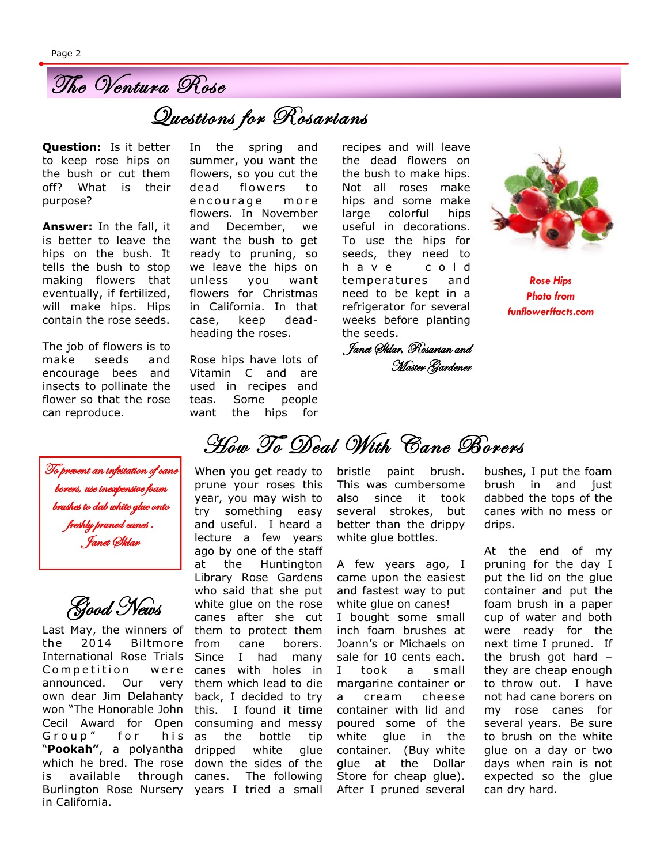

## Questions for Rosarians

**Question:** Is it better to keep rose hips on the bush or cut them off? What is their purpose?

**Answer:** In the fall, it is better to leave the hips on the bush. It tells the bush to stop making flowers that eventually, if fertilized, will make hips. Hips contain the rose seeds.

The job of flowers is to make seeds and encourage bees and insects to pollinate the flower so that the rose can reproduce.



Good News

won "The Honorable John this. I found it time Cecil Award for Open consuming and messy which he bred. The rose down the sides of the is available through canes. The following Burlington Rose Nursery years I tried a small Last May, the winners of the 2014 Biltmore International Rose Trials Competition were announced. Our very own dear Jim Delahanty Group" for his "**Pookah"**, a polyantha in California.

In the spring and summer, you want the flowers, so you cut the dead flowers to encourage more flowers. In November and December, we want the bush to get ready to pruning, so we leave the hips on unless you want flowers for Christmas in California. In that case, keep deadheading the roses.

Rose hips have lots of Vitamin C and are used in recipes and teas. Some people want the hips for

recipes and will leave the dead flowers on the bush to make hips. Not all roses make hips and some make large colorful hips useful in decorations. To use the hips for seeds, they need to h a v e c o l d temperatures and need to be kept in a refrigerator for several weeks before planting the seeds.

Janet Sklar, Rosarian and Master Gardener



*Rose Hips Photo from funflowerffacts.com*

How To Deal With Cane Borers

When you get ready to prune your roses this year, you may wish to try something easy and useful. I heard a lecture a few years ago by one of the staff at the Huntington Library Rose Gardens who said that she put white glue on the rose canes after she cut them to protect them from cane borers. Since I had many canes with holes in them which lead to die back, I decided to try as the bottle tip dripped white glue

bristle paint brush. This was cumbersome also since it took several strokes, but better than the drippy white glue bottles.

A few years ago, I came upon the easiest and fastest way to put white glue on canes! I bought some small inch foam brushes at Joann's or Michaels on sale for 10 cents each. I took a small margarine container or a cream cheese container with lid and poured some of the white glue in the container. (Buy white glue at the Dollar Store for cheap glue). After I pruned several

bushes, I put the foam brush in and just dabbed the tops of the canes with no mess or drips.

At the end of my pruning for the day I put the lid on the glue container and put the foam brush in a paper cup of water and both were ready for the next time I pruned. If the brush got hard – they are cheap enough to throw out. I have not had cane borers on my rose canes for several years. Be sure to brush on the white glue on a day or two days when rain is not expected so the glue can dry hard.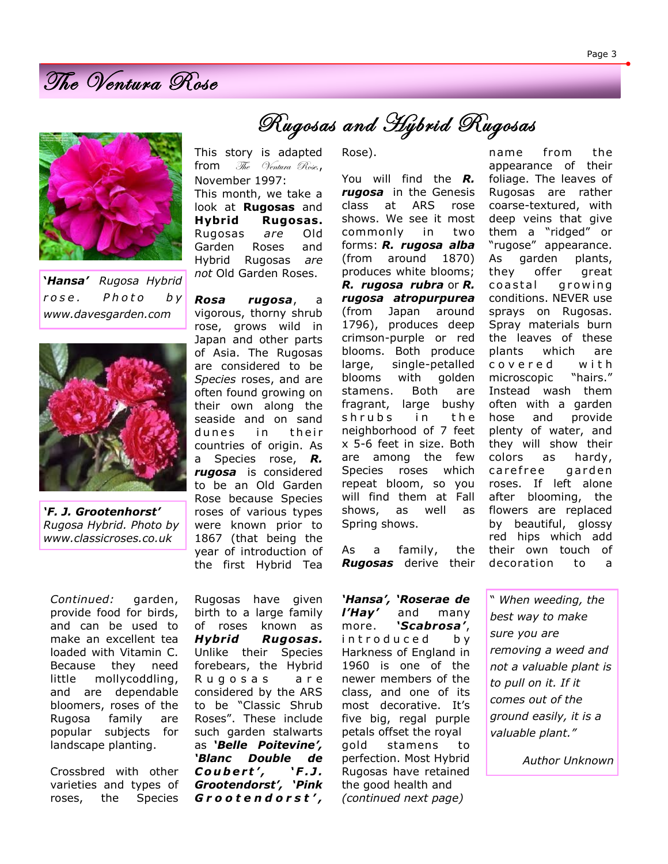

**'***Hansa' Rugosa Hybrid r o s e . P h o t o b y www.davesgarden.com*



*'F. J. Grootenhorst' Rugosa Hybrid. Photo by www.classicroses.co.uk*

*Continued:* garden, provide food for birds, and can be used to make an excellent tea loaded with Vitamin C. Because they need little mollycoddling, and are dependable bloomers, roses of the Rugosa family are popular subjects for landscape planting.

Crossbred with other varieties and types of roses, the Species Rugosas have given birth to a large family of roses known as *Hybrid Rugosas.* Unlike their Species forebears, the Hybrid Rugosas are considered by the ARS to be "Classic Shrub Roses". These include such garden stalwarts as *'Belle Poitevine', 'Blanc Double de Coubert',* 'F.J. *Grootendorst', 'Pink G r o o t e n d o r s t ' ,* 

roses of various types were known prior to 1867 (that being the year of introduction of the first Hybrid Tea Rose).

Rugosas and Hybrid Rugosas

This story is adapted from The Ventura Rose,

This month, we take a look at **Rugosas** and **Hybrid Rugosas.** Rugosas *are* Old Garden Roses and Hybrid Rugosas *are not* Old Garden Roses.

*Rosa rugosa*, a vigorous, thorny shrub rose, grows wild in

November 1997:

You will find the *R. rugosa* in the Genesis class at ARS rose shows. We see it most commonly in two forms: *R. rugosa alba* (from around 1870) produces white blooms; *R. rugosa rubra* or *R. rugosa atropurpurea*  (from Japan around 1796), produces deep crimson-purple or red blooms. Both produce large, single-petalled blooms with golden stamens. Both are fragrant, large bushy shrubs in the neighborhood of 7 feet x 5-6 feet in size. Both are among the few Species roses which repeat bloom, so you will find them at Fall shows, as well as Spring shows.

As a family, the *Rugosas* derive their

*'Hansa', 'Roserae de l'Hay'* and many more. *'Scabrosa'*, i n t r o d u c e d b y Harkness of England in 1960 is one of the newer members of the class, and one of its most decorative. It's five big, regal purple petals offset the royal gold stamens to perfection. Most Hybrid Rugosas have retained the good health and *(continued next page)*

name from the appearance of their foliage. The leaves of Rugosas are rather coarse-textured, with deep veins that give them a "ridged" or "rugose" appearance. As garden plants, they offer great coastal growing conditions. NEVER use sprays on Rugosas. Spray materials burn the leaves of these plants which are c o v e r e d w i t h microscopic "hairs." Instead wash them often with a garden hose and provide plenty of water, and they will show their colors as hardy, carefree garden roses. If left alone after blooming, the flowers are replaced by beautiful, glossy red hips which add their own touch of decoration to a

" *When weeding, the best way to make sure you are removing a weed and not a valuable plant is to pull on it. If it comes out of the ground easily, it is a valuable plant."*

*Author Unknown*